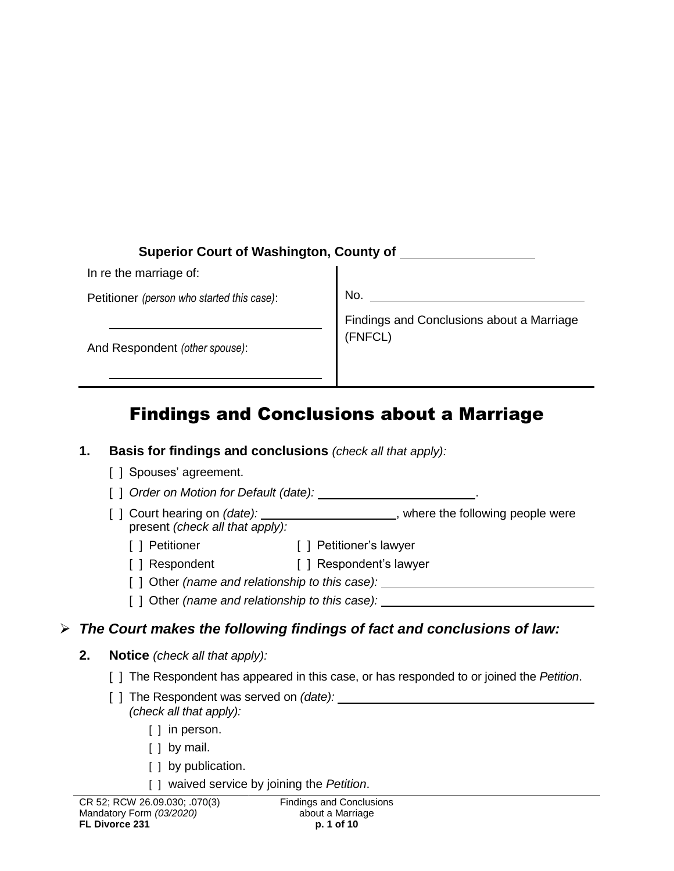# **Superior Court of Washington, County of**

In re the marriage of:

Petitioner *(person who started this case)*:

No.

And Respondent *(other spouse)*:

Findings and Conclusions about a Marriage (FNFCL)

# Findings and Conclusions about a Marriage

|   | 1. | <b>Basis for findings and conclusions</b> (check all that apply):                                                      |
|---|----|------------------------------------------------------------------------------------------------------------------------|
|   |    | [] Spouses' agreement.                                                                                                 |
|   |    | [ ] Order on Motion for Default (date): _________________________.                                                     |
|   |    | [ ] Court hearing on (date): _____________________, where the following people were<br>present (check all that apply): |
|   |    | [ ] Petitioner's lawyer<br>[ ] Petitioner                                                                              |
|   |    | [ ] Respondent [ ] Respondent's lawyer                                                                                 |
|   |    | [ ] Other (name and relationship to this case): ________________________________                                       |
|   |    | [ ] Other (name and relationship to this case): ________________________________                                       |
| ➤ |    | The Court makes the following findings of fact and conclusions of law:                                                 |
|   | 2. | <b>Notice</b> (check all that apply):                                                                                  |
|   |    | [ ] The Respondent has appeared in this case, or has responded to or joined the Petition.                              |
|   |    | (check all that apply):                                                                                                |
|   |    | $[ ]$ in person.                                                                                                       |
|   |    | $\left[\begin{array}{ccc}1 & by & \text{mail.}\end{array}\right]$                                                      |
|   |    | [ ] by publication.                                                                                                    |
|   |    | [ ] waived service by joining the Petition.                                                                            |
|   |    | CR 52; RCW 26.09.030; .070(3) Findings and Conclusions                                                                 |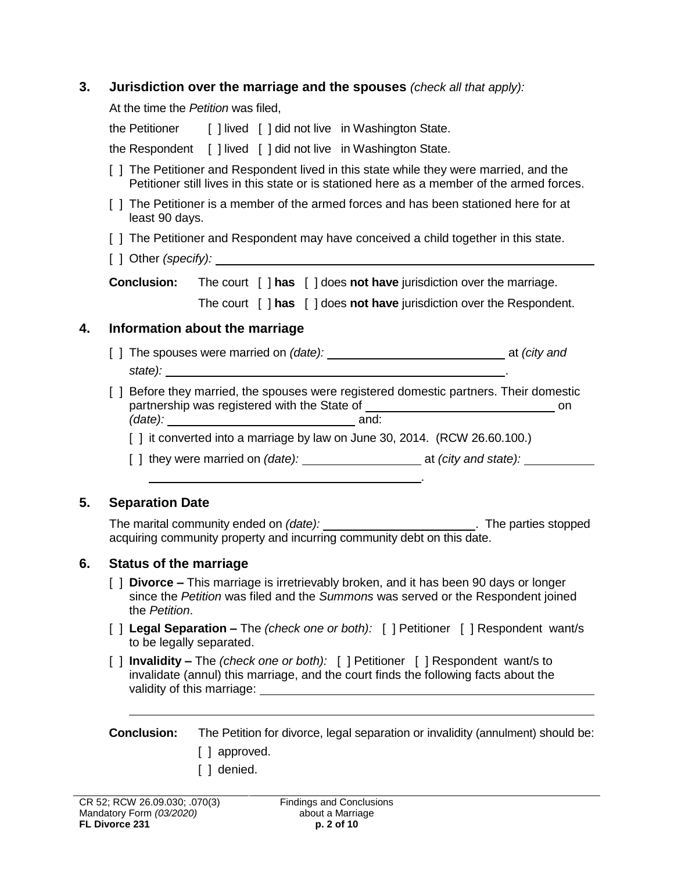### **3. Jurisdiction over the marriage and the spouses** *(check all that apply):*

At the time the *Petition* was filed,

the Petitioner [ ] lived [ ] did not live in Washington State.

the Respondent [ ] lived [ ] did not live in Washington State.

- [ ] The Petitioner and Respondent lived in this state while they were married, and the Petitioner still lives in this state or is stationed here as a member of the armed forces.
- [ ] The Petitioner is a member of the armed forces and has been stationed here for at least 90 days.
- [ ] The Petitioner and Respondent may have conceived a child together in this state.
- [ ] Other *(specify):*

**Conclusion:** The court [ ] has [ ] does not have jurisdiction over the marriage.

The court [ ] **has** [ ] does **not have** jurisdiction over the Respondent.

### **4. Information about the marriage**

- [ ] The spouses were married on *(date):* <u>and at *(city and* at *(city and at*  $\left($ *city and*  $\left($ </u> *state):* .
- [ ] Before they married, the spouses were registered domestic partners. Their domestic partnership was registered with the State of on *(date):* and:
	- [] it converted into a marriage by law on June 30, 2014. (RCW 26.60.100.)
	- [ ] they were married on *(date):* at *(city and state):*

.

### **5. Separation Date**

The marital community ended on *(date):* \_\_\_\_\_\_\_\_\_\_\_\_\_\_\_\_\_\_\_\_\_\_\_\_\_. The parties stopped acquiring community property and incurring community debt on this date.

### **6. Status of the marriage**

- [ ] **Divorce –** This marriage is irretrievably broken, and it has been 90 days or longer since the *Petition* was filed and the *Summons* was served or the Respondent joined the *Petition*.
- [ ] **Legal Separation –** The *(check one or both):* [ ] Petitioner [ ] Respondent want/s to be legally separated.
- [ ] **Invalidity –** The *(check one or both):* [ ] Petitioner [ ] Respondent want/s to invalidate (annul) this marriage, and the court finds the following facts about the validity of this marriage:

**Conclusion:** The Petition for divorce, legal separation or invalidity (annulment) should be: [ ] approved.

[ ] denied.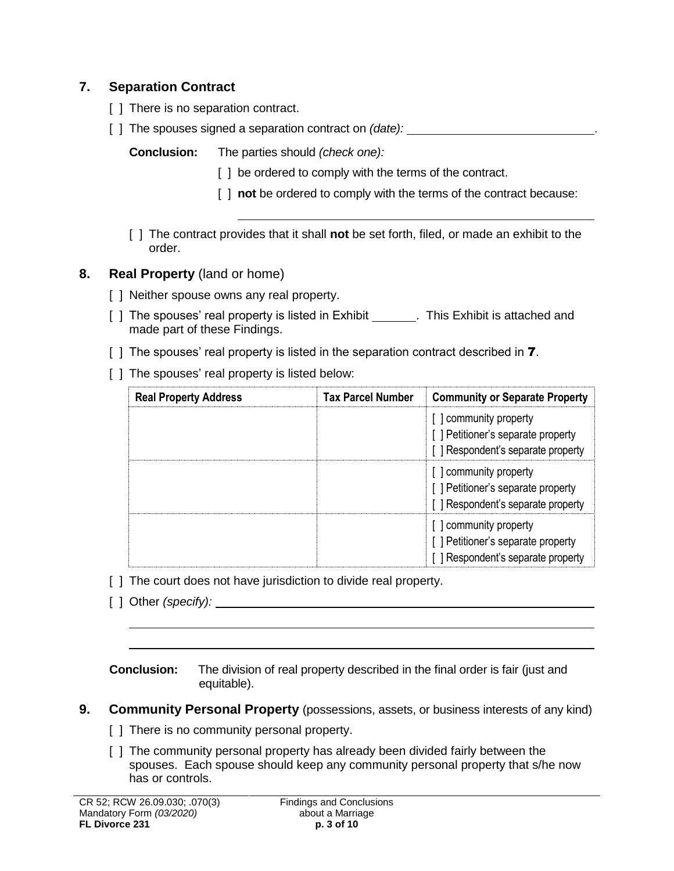# **7. Separation Contract**

- [ ] There is no separation contract.
- [ ] The spouses signed a separation contract on *(date):* .

**Conclusion:** The parties should *(check one):*

- [] be ordered to comply with the terms of the contract.
- [  $\mid$  **not** be ordered to comply with the terms of the contract because:
- [ ] The contract provides that it shall **not** be set forth, filed, or made an exhibit to the order.
- **8. Real Property** (land or home)
	- [ ] Neither spouse owns any real property.
	- [ ] The spouses' real property is listed in Exhibit . This Exhibit is attached and made part of these Findings.
	- [ ] The spouses' real property is listed in the separation contract described in **7**.
	- [ ] The spouses' real property is listed below:

| <b>Real Property Address</b> | <b>Tax Parcel Number</b> | <b>Community or Separate Property</b>                                                            |  |
|------------------------------|--------------------------|--------------------------------------------------------------------------------------------------|--|
|                              |                          | [] community property<br>[] Petitioner's separate property<br>[ ] Respondent's separate property |  |
|                              |                          | [] community property<br>[] Petitioner's separate property<br>[] Respondent's separate property  |  |
|                              |                          | [] community property<br>[] Petitioner's separate property<br>[] Respondent's separate property  |  |

- [] The court does not have jurisdiction to divide real property.
- [ ] Other *(specify):*

**Conclusion:** The division of real property described in the final order is fair (just and equitable).

- **9. Community Personal Property** (possessions, assets, or business interests of any kind)
	- [ ] There is no community personal property.
	- [ ] The community personal property has already been divided fairly between the spouses. Each spouse should keep any community personal property that s/he now has or controls.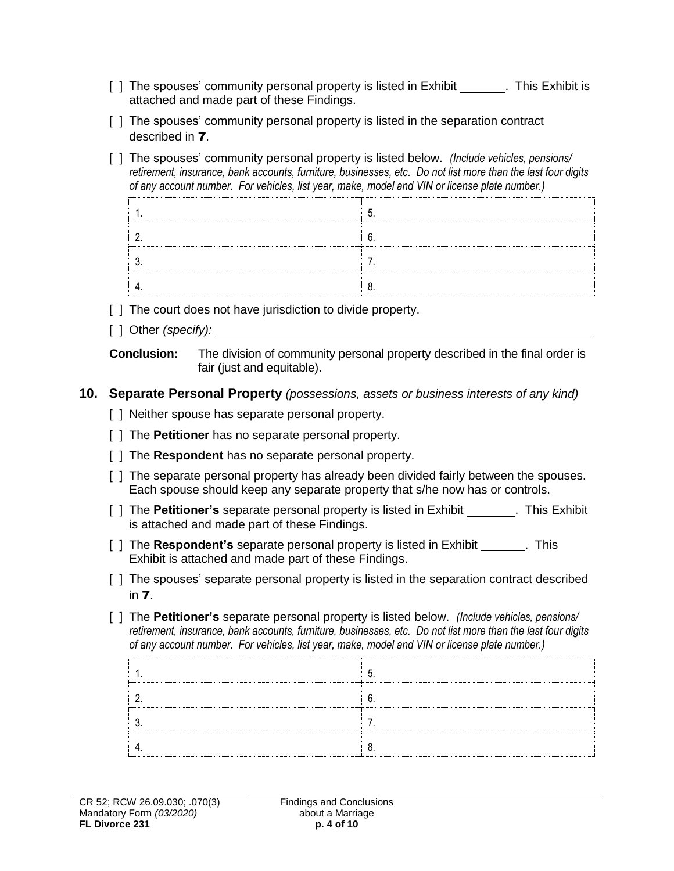- [ ] The spouses' community personal property is listed in Exhibit . This Exhibit is attached and made part of these Findings.
- [] The spouses' community personal property is listed in the separation contract described in 7.
- [ ] The spouses' community personal property is listed below. *(Include vehicles, pensions/ retirement, insurance, bank accounts, furniture, businesses, etc. Do not list more than the last four digits of any account number. For vehicles, list year, make, model and VIN or license plate number.)*

- [ ] The court does not have jurisdiction to divide property.
- [ ] Other *(specify):*

**Conclusion:** The division of community personal property described in the final order is fair (just and equitable).

### **10. Separate Personal Property** *(possessions, assets or business interests of any kind)*

- [ ] Neither spouse has separate personal property.
- [ ] The **Petitioner** has no separate personal property.
- [ ] The **Respondent** has no separate personal property.
- [ ] The separate personal property has already been divided fairly between the spouses. Each spouse should keep any separate property that s/he now has or controls.
- [ ] The **Petitioner's** separate personal property is listed in Exhibit . This Exhibit is attached and made part of these Findings.
- [ ] The **Respondent's** separate personal property is listed in Exhibit . This Exhibit is attached and made part of these Findings.
- [ ] The spouses' separate personal property is listed in the separation contract described in 7.
- [ ] The **Petitioner's** separate personal property is listed below. *(Include vehicles, pensions/ retirement, insurance, bank accounts, furniture, businesses, etc. Do not list more than the last four digits of any account number. For vehicles, list year, make, model and VIN or license plate number.)*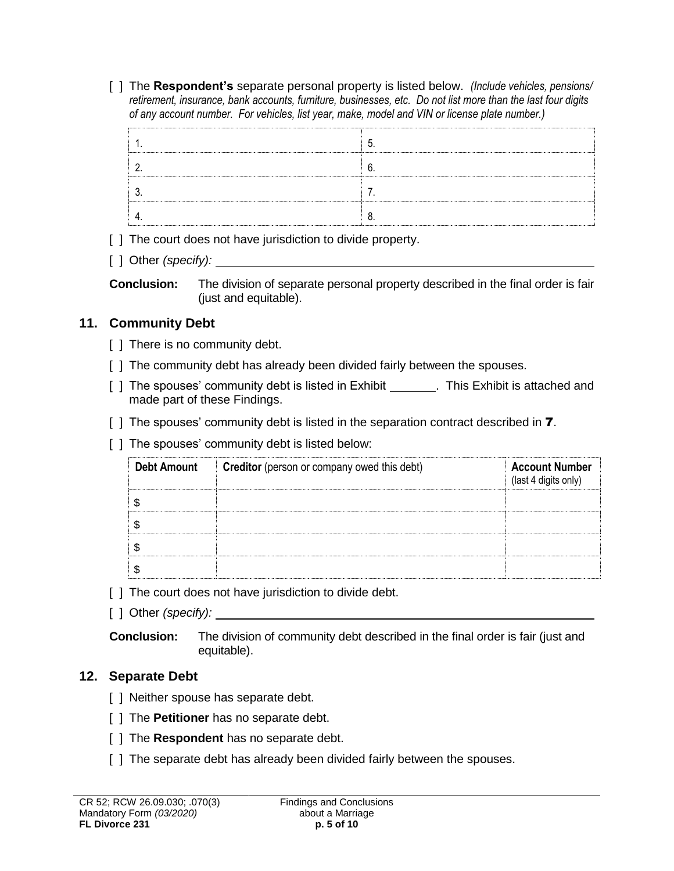[ ] The **Respondent's** separate personal property is listed below. *(Include vehicles, pensions/ retirement, insurance, bank accounts, furniture, businesses, etc. Do not list more than the last four digits of any account number. For vehicles, list year, make, model and VIN or license plate number.)*

[ ] The court does not have jurisdiction to divide property.

[ ] Other *(specify):*

**Conclusion:** The division of separate personal property described in the final order is fair (just and equitable).

# **11. Community Debt**

- [ ] There is no community debt.
- [ ] The community debt has already been divided fairly between the spouses.
- [ ] The spouses' community debt is listed in Exhibit \_\_\_\_\_\_\_. This Exhibit is attached and made part of these Findings.
- [ ] The spouses' community debt is listed in the separation contract described in **7**.
- [ ] The spouses' community debt is listed below:

| <b>Debt Amount</b> | <b>Creditor</b> (person or company owed this debt) | <b>Account Number</b><br>(last 4 digits only) |
|--------------------|----------------------------------------------------|-----------------------------------------------|
|                    |                                                    |                                               |
|                    |                                                    |                                               |
|                    |                                                    |                                               |
|                    |                                                    |                                               |

- [ ] The court does not have jurisdiction to divide debt.
- [ ] Other *(specify):*

**Conclusion:** The division of community debt described in the final order is fair (just and equitable).

### **12. Separate Debt**

- [ ] Neither spouse has separate debt.
- [ ] The **Petitioner** has no separate debt.
- [ ] The **Respondent** has no separate debt.
- [] The separate debt has already been divided fairly between the spouses.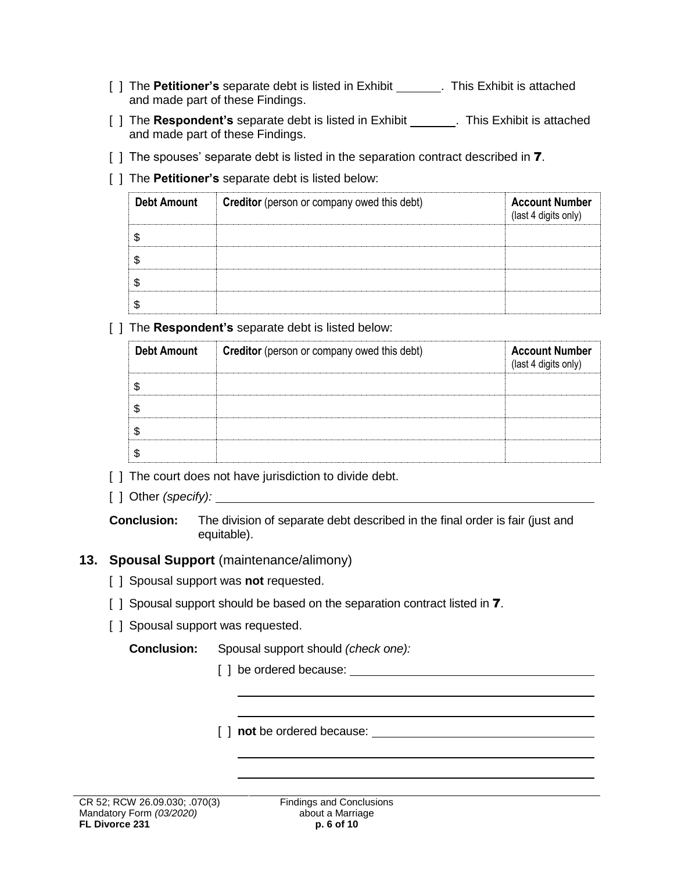- [ ] The **Petitioner's** separate debt is listed in Exhibit . This Exhibit is attached and made part of these Findings.
- [ ] The **Respondent's** separate debt is listed in Exhibit **......** This Exhibit is attached and made part of these Findings.
- [ ] The spouses' separate debt is listed in the separation contract described in **7**.
- [ ] The **Petitioner's** separate debt is listed below:

| <b>Debt Amount</b> | Creditor (person or company owed this debt) | <b>Account Number</b><br>(last 4 digits only) |
|--------------------|---------------------------------------------|-----------------------------------------------|
|                    |                                             |                                               |
|                    |                                             |                                               |
|                    |                                             |                                               |
|                    |                                             |                                               |

[ ] The **Respondent's** separate debt is listed below:

| <b>Debt Amount</b> | <b>Creditor</b> (person or company owed this debt) | <b>Account Number</b><br>(last 4 digits only) |
|--------------------|----------------------------------------------------|-----------------------------------------------|
|                    |                                                    |                                               |
|                    |                                                    |                                               |
|                    |                                                    |                                               |
|                    |                                                    |                                               |

- [] The court does not have jurisdiction to divide debt.
- [ ] Other *(specify):* \_\_\_\_\_\_

**Conclusion:** The division of separate debt described in the final order is fair (just and equitable).

# **13. Spousal Support** (maintenance/alimony)

- [ ] Spousal support was **not** requested.
- [ ] Spousal support should be based on the separation contract listed in **7**.
- [ ] Spousal support was requested.

**Conclusion:** Spousal support should *(check one):*

[ ] be ordered because: The state of  $\sim$  100  $\mu$  state of  $\sim$  100  $\mu$  state of  $\sim$  100  $\mu$  state of  $\sim$  100  $\mu$  state of  $\mu$  state of  $\mu$  state of  $\mu$  state of  $\mu$  state of  $\mu$  state of  $\mu$  state of  $\mu$  stat

[ ] **not** be ordered because: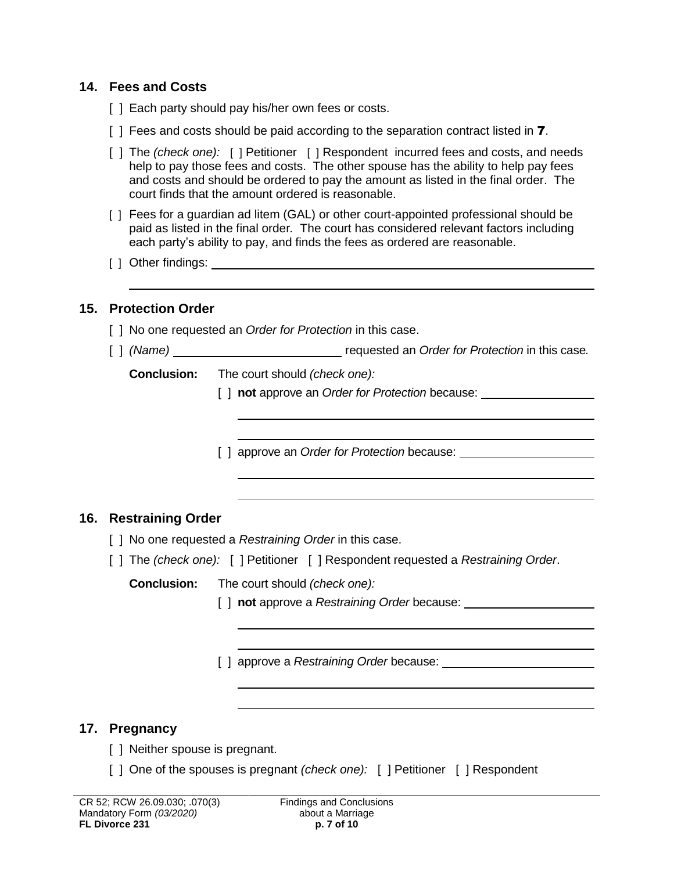### **14. Fees and Costs**

- [ ] Each party should pay his/her own fees or costs.
- [ ] Fees and costs should be paid according to the separation contract listed in **7**.
- [ ] The *(check one):* [ ] Petitioner [ ] Respondent incurred fees and costs, and needs help to pay those fees and costs. The other spouse has the ability to help pay fees and costs and should be ordered to pay the amount as listed in the final order. The court finds that the amount ordered is reasonable.
- [ ] Fees for a guardian ad litem (GAL) or other court-appointed professional should be paid as listed in the final order*.* The court has considered relevant factors including each party's ability to pay, and finds the fees as ordered are reasonable.
- [ ] Other findings:

### **15. Protection Order**

- [ ] No one requested an *Order for Protection* in this case.
- [ ] *(Name)* requested an *Order for Protection* in this case.

**Conclusion:** The court should *(check one):*

[ ] **not** approve an *Order for Protection* because:

[ ] approve an *Order for Protection* because:

### **16. Restraining Order**

- [  $\vert$  No one requested a *Restraining Order* in this case.
- [ ] The *(check one):* [ ] Petitioner [ ] Respondent requested a *Restraining Order*.

**Conclusion:** The court should *(check one):* 

- [ ] **not** approve a *Restraining Order* because:
	-

[ ] approve a *Restraining Order* because:

### **17. Pregnancy**

- [ ] Neither spouse is pregnant.
- [ ] One of the spouses is pregnant *(check one):* [ ] Petitioner [ ] Respondent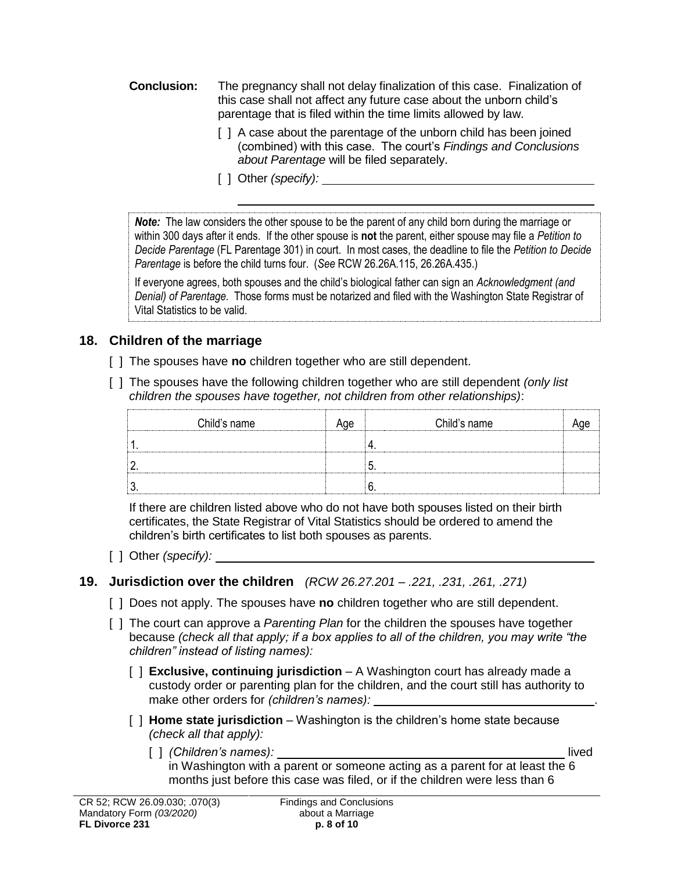- **Conclusion:** The pregnancy shall not delay finalization of this case. Finalization of this case shall not affect any future case about the unborn child's parentage that is filed within the time limits allowed by law.
	- [ ] A case about the parentage of the unborn child has been joined (combined) with this case. The court's *Findings and Conclusions about Parentage* will be filed separately.
	- [ ] Other *(specify):*

*Note:* The law considers the other spouse to be the parent of any child born during the marriage or within 300 days after it ends. If the other spouse is **not** the parent, either spouse may file a *Petition to Decide Parentage* (FL Parentage 301) in court. In most cases, the deadline to file the *Petition to Decide Parentage* is before the child turns four. (*See* RCW 26.26A.115, 26.26A.435.)

If everyone agrees, both spouses and the child's biological father can sign an *Acknowledgment (and Denial) of Parentage*. Those forms must be notarized and filed with the Washington State Registrar of Vital Statistics to be valid.

# **18. Children of the marriage**

- [ ] The spouses have **no** children together who are still dependent.
- [ ] The spouses have the following children together who are still dependent *(only list children the spouses have together, not children from other relationships)*:

|   | Child's name | Child's name |  |
|---|--------------|--------------|--|
|   |              |              |  |
| c |              |              |  |
| n |              |              |  |

If there are children listed above who do not have both spouses listed on their birth certificates, the State Registrar of Vital Statistics should be ordered to amend the children's birth certificates to list both spouses as parents.

- [ ] Other *(specify):*
- **19. Jurisdiction over the children** *(RCW 26.27.201 – .221, .231, .261, .271)*
	- [ ] Does not apply. The spouses have **no** children together who are still dependent.
	- [ ] The court can approve a *Parenting Plan* for the children the spouses have together because *(check all that apply; if a box applies to all of the children, you may write "the children" instead of listing names):*
		- [ ] **Exclusive, continuing jurisdiction** A Washington court has already made a custody order or parenting plan for the children, and the court still has authority to make other orders for *(children's names):* .
		- [ ] **Home state jurisdiction** Washington is the children's home state because *(check all that apply):* 
			- [ ] *(Children's names):* lived in Washington with a parent or someone acting as a parent for at least the 6 months just before this case was filed, or if the children were less than 6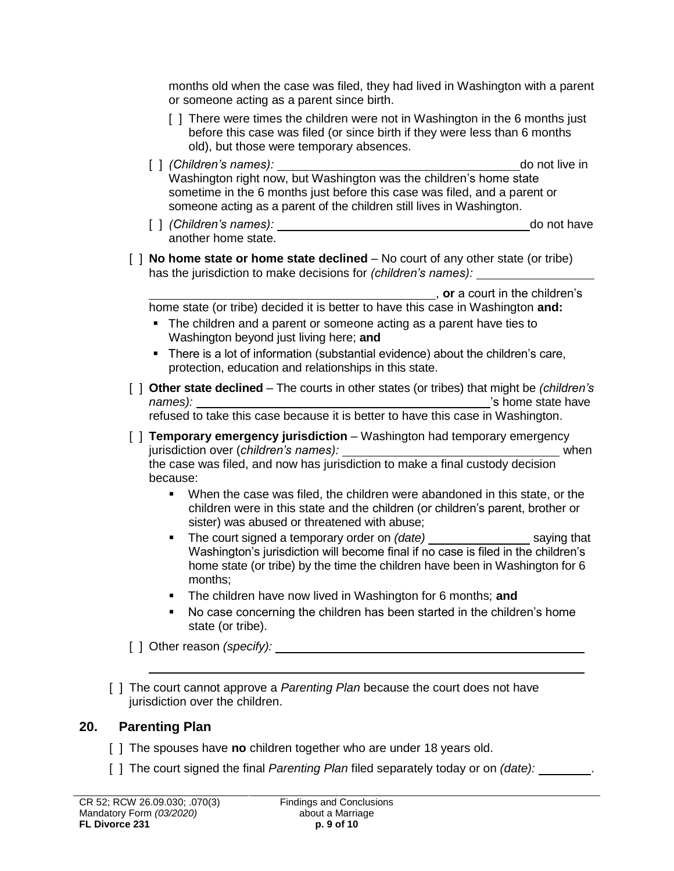months old when the case was filed, they had lived in Washington with a parent or someone acting as a parent since birth.

- [ ] There were times the children were not in Washington in the 6 months just before this case was filed (or since birth if they were less than 6 months old), but those were temporary absences.
- [ ] *(Children's names):* do not live in Washington right now, but Washington was the children's home state sometime in the 6 months just before this case was filed, and a parent or someone acting as a parent of the children still lives in Washington.
- [ ] *(Children's names):* do not have another home state.
- [ ] **No home state or home state declined** No court of any other state (or tribe) has the jurisdiction to make decisions for *(children's names):*

, **or** a court in the children's

home state (or tribe) decided it is better to have this case in Washington **and:**

- The children and a parent or someone acting as a parent have ties to Washington beyond just living here; **and**
- There is a lot of information (substantial evidence) about the children's care, protection, education and relationships in this state.
- [ ] **Other state declined** The courts in other states (or tribes) that might be *(children's names):*  $\qquad \qquad$  's home state have

refused to take this case because it is better to have this case in Washington.

- [ ] **Temporary emergency jurisdiction**  Washington had temporary emergency jurisdiction over (*children's names):* when the case was filed, and now has jurisdiction to make a final custody decision because:
	- When the case was filed, the children were abandoned in this state, or the children were in this state and the children (or children's parent, brother or sister) was abused or threatened with abuse;
	- The court signed a temporary order on *(date)* \_\_\_\_\_\_\_\_\_\_\_\_\_\_\_\_\_\_\_ saying that Washington's jurisdiction will become final if no case is filed in the children's home state (or tribe) by the time the children have been in Washington for 6 months;
	- The children have now lived in Washington for 6 months; **and**
	- No case concerning the children has been started in the children's home state (or tribe).

[ ] Other reason *(specify):*

[ ] The court cannot approve a *Parenting Plan* because the court does not have jurisdiction over the children.

### **20. Parenting Plan**

- [ ] The spouses have **no** children together who are under 18 years old.
- [ ] The court signed the final *Parenting Plan* filed separately today or on *(date):* .